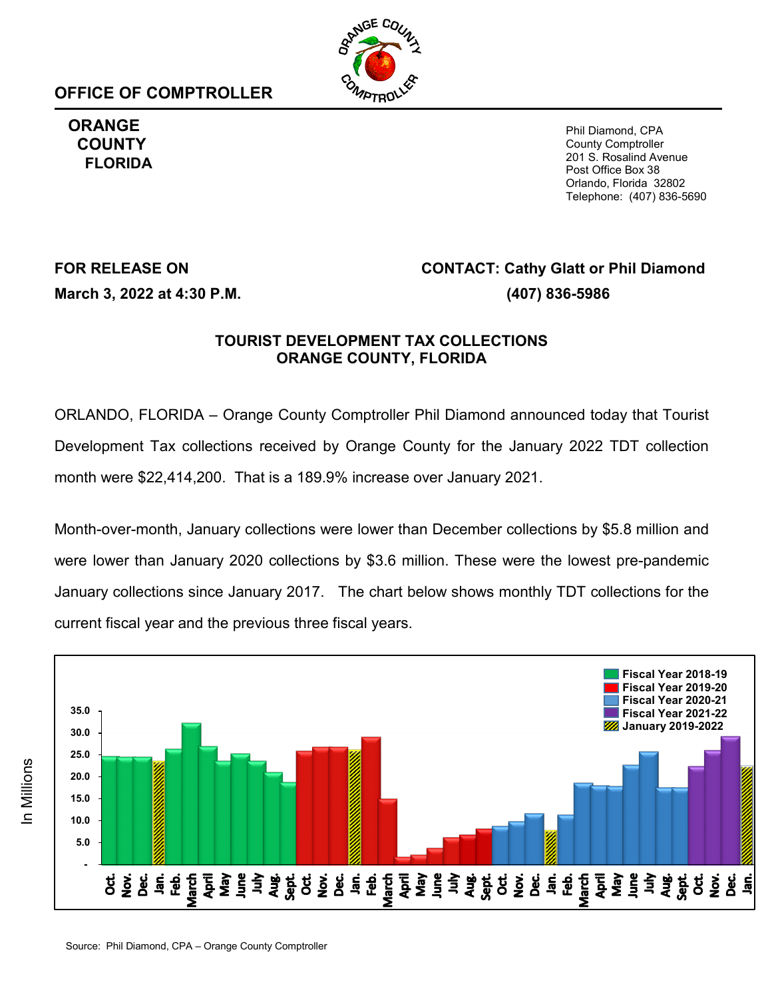**OFFICE OF COMPTROLLER**



**ORANGE COUNTY FLORIDA**

Phil Diamond, CPA County Comptroller 201 S. Rosalind Avenue Post Office Box 38 Orlando, Florida 32802 Telephone: (407) 836-5690

# **FOR RELEASE ON CONTACT: Cathy Glatt or Phil Diamond March 3, 2022 at 4:30 P.M. (407) 836-5986**

### **TOURIST DEVELOPMENT TAX COLLECTIONS ORANGE COUNTY, FLORIDA**

ORLANDO, FLORIDA – Orange County Comptroller Phil Diamond announced today that Tourist Development Tax collections received by Orange County for the January 2022 TDT collection month were \$22,414,200. That is a 189.9% increase over January 2021.

Month-over-month, January collections were lower than December collections by \$5.8 million and were lower than January 2020 collections by \$3.6 million. These were the lowest pre-pandemic January collections since January 2017. The chart below shows monthly TDT collections for the current fiscal year and the previous three fiscal years.

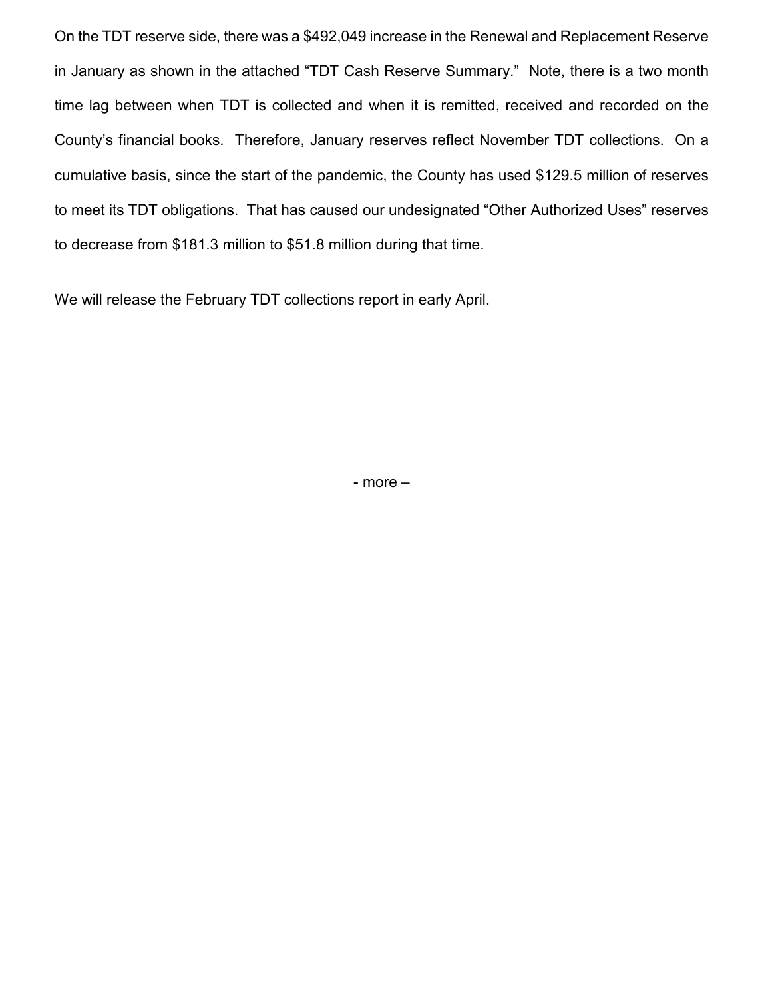On the TDT reserve side, there was a \$492,049 increase in the Renewal and Replacement Reserve in January as shown in the attached "TDT Cash Reserve Summary." Note, there is a two month time lag between when TDT is collected and when it is remitted, received and recorded on the County's financial books. Therefore, January reserves reflect November TDT collections. On a cumulative basis, since the start of the pandemic, the County has used \$129.5 million of reserves to meet its TDT obligations. That has caused our undesignated "Other Authorized Uses" reserves to decrease from \$181.3 million to \$51.8 million during that time.

We will release the February TDT collections report in early April.

- more –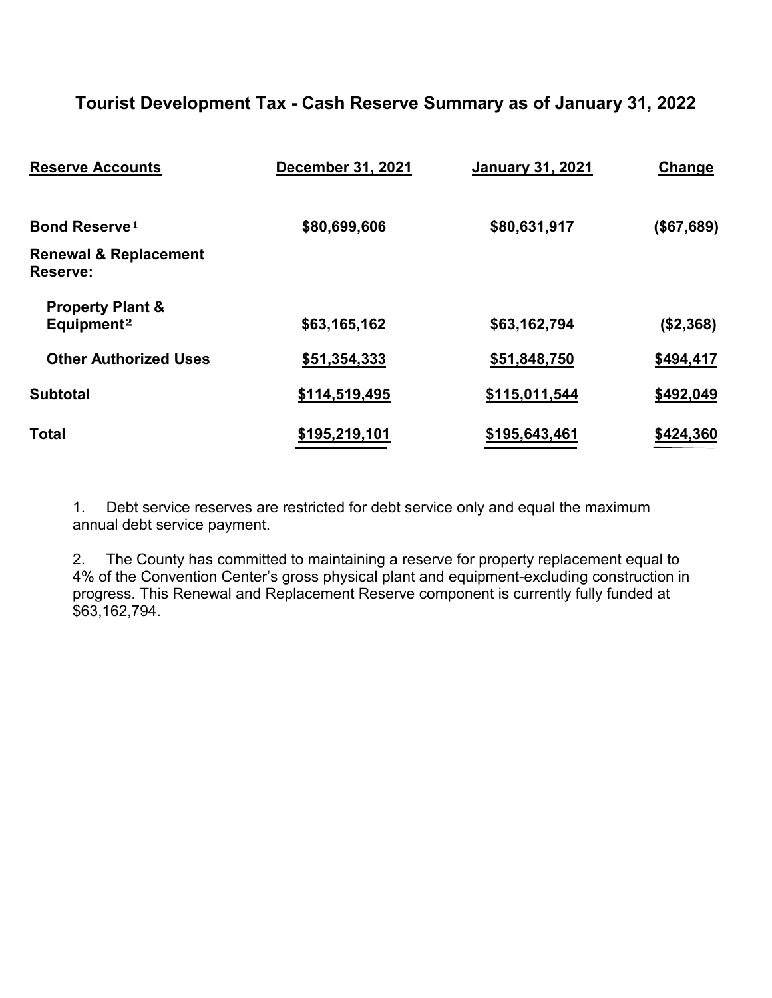## **Tourist Development Tax - Cash Reserve Summary as of January 31, 2022**

| <b>Reserve Accounts</b>                               | December 31, 2021 | <b>January 31, 2021</b> | Change     |  |
|-------------------------------------------------------|-------------------|-------------------------|------------|--|
| <b>Bond Reserve1</b>                                  | \$80,699,606      | \$80,631,917            | (\$67,689) |  |
| <b>Renewal &amp; Replacement</b><br>Reserve:          |                   |                         |            |  |
| <b>Property Plant &amp;</b><br>Equipment <sup>2</sup> | \$63,165,162      | \$63,162,794            | (\$2,368)  |  |
| <b>Other Authorized Uses</b>                          | \$51,354,333      | \$51,848,750            | \$494,417  |  |
| <b>Subtotal</b>                                       | \$114,519,495     | \$115,011,544           | \$492,049  |  |
| <b>Total</b>                                          | \$195,219,101     | \$195,643,461           | \$424,360  |  |

1. Debt service reserves are restricted for debt service only and equal the maximum annual debt service payment.

2. The County has committed to maintaining a reserve for property replacement equal to 4% of the Convention Center's gross physical plant and equipment-excluding construction in progress. This Renewal and Replacement Reserve component is currently fully funded at \$63,162,794.